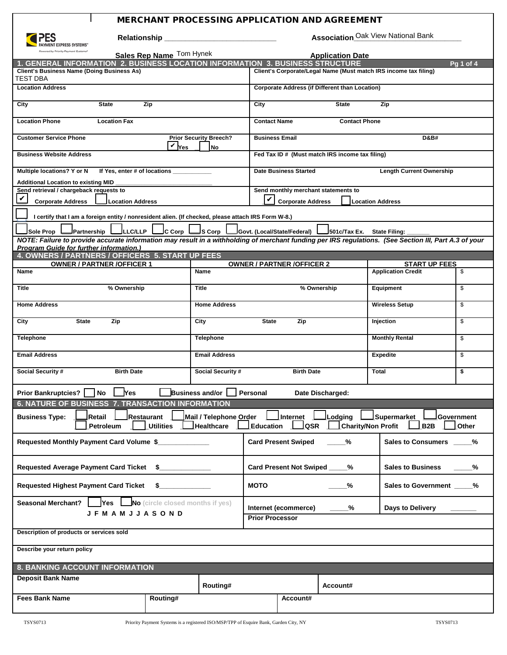## **INERCHANT PROCESSING APPLICATION AND AGREEMENT**

| PAYMENT EXPRESS SYSTEMS" |
|--------------------------|

**Relationship \_\_\_\_\_\_\_\_\_\_\_\_\_\_\_\_\_\_\_\_\_\_\_\_\_\_\_ Association\_\_\_\_\_\_\_\_\_\_\_\_\_\_\_\_\_\_\_\_\_\_\_\_\_\_**

Association Oak View National Bank

| Powered by Priority Payment Systems*<br>Sales Rep Name Tom Hynek                                                                                                                                                                                                                                                                              |                                            | <b>Application Date</b>                                         |                                                                  |                                                         |                     |  |
|-----------------------------------------------------------------------------------------------------------------------------------------------------------------------------------------------------------------------------------------------------------------------------------------------------------------------------------------------|--------------------------------------------|-----------------------------------------------------------------|------------------------------------------------------------------|---------------------------------------------------------|---------------------|--|
| <b>GENERAL INFORMATION 2. BUSINESS LOCATION INFORMATION 3. BUSINESS STRUCTURE</b>                                                                                                                                                                                                                                                             |                                            |                                                                 |                                                                  | <b>Pq 1 of 4</b>                                        |                     |  |
| <b>Client's Business Name (Doing Business As)</b><br>TEST DBA                                                                                                                                                                                                                                                                                 |                                            |                                                                 | Client's Corporate/Legal Name (Must match IRS income tax filing) |                                                         |                     |  |
| <b>Location Address</b>                                                                                                                                                                                                                                                                                                                       |                                            | <b>Corporate Address (if Different than Location)</b>           |                                                                  |                                                         |                     |  |
| Zip<br>City<br><b>State</b>                                                                                                                                                                                                                                                                                                                   |                                            | City                                                            | <b>State</b>                                                     | Zip                                                     |                     |  |
| <b>Location Phone</b><br><b>Location Fax</b>                                                                                                                                                                                                                                                                                                  |                                            | <b>Contact Name</b>                                             | <b>Contact Phone</b>                                             |                                                         |                     |  |
| <b>Customer Service Phone</b><br>$V$ $ v_{es} $                                                                                                                                                                                                                                                                                               | <b>Prior Security Breech?</b><br><b>No</b> | <b>Business Email</b>                                           |                                                                  | <b>D&amp;B#</b>                                         |                     |  |
| <b>Business Website Address</b>                                                                                                                                                                                                                                                                                                               |                                            | Fed Tax ID # (Must match IRS income tax filing)                 |                                                                  |                                                         |                     |  |
| Multiple locations? Y or N<br>If Yes, enter # of locations                                                                                                                                                                                                                                                                                    |                                            |                                                                 | <b>Length Current Ownership</b><br><b>Date Business Started</b>  |                                                         |                     |  |
| <b>Additional Location to existing MID</b>                                                                                                                                                                                                                                                                                                    |                                            |                                                                 |                                                                  |                                                         |                     |  |
| Send retrieval / chargeback requests to<br>V<br><b>Corporate Address</b><br><b>Location Address</b>                                                                                                                                                                                                                                           |                                            | Send monthly merchant statements to<br><b>Corporate Address</b> |                                                                  | <b>Location Address</b>                                 |                     |  |
| I certify that I am a foreign entity / nonresident alien. (If checked, please attach IRS Form W-8.)                                                                                                                                                                                                                                           |                                            |                                                                 |                                                                  |                                                         |                     |  |
| ∫C Corp ∣<br>Sole Prop<br>Partnership<br><b>LLC/LLP</b>                                                                                                                                                                                                                                                                                       | S Corp I                                   |                                                                 | 501c/Tax Ex. State Filing:                                       |                                                         |                     |  |
| NOTE: Failure to provide accurate information may result in a withholding of merchant funding per IRS regulations. (See Section III, Part A.3 of your<br><b>Program Guide for further information.)</b>                                                                                                                                       |                                            |                                                                 |                                                                  |                                                         |                     |  |
| 4. OWNERS / PARTNERS / OFFICERS 5. START UP FEES                                                                                                                                                                                                                                                                                              |                                            |                                                                 |                                                                  |                                                         |                     |  |
| <b>OWNER / PARTNER /OFFICER 1</b>                                                                                                                                                                                                                                                                                                             |                                            | <b>OWNER / PARTNER /OFFICER 2</b>                               |                                                                  | <b>START UP FEES</b>                                    |                     |  |
| Name                                                                                                                                                                                                                                                                                                                                          | Name                                       |                                                                 |                                                                  | <b>Application Credit</b>                               | \$                  |  |
| <b>Title</b><br>% Ownership                                                                                                                                                                                                                                                                                                                   | <b>Title</b>                               |                                                                 | % Ownership                                                      | Equipment<br>\$                                         |                     |  |
| <b>Home Address</b>                                                                                                                                                                                                                                                                                                                           | <b>Home Address</b>                        |                                                                 |                                                                  | <b>Wireless Setup</b>                                   | \$                  |  |
| <b>State</b><br>Zip<br>City                                                                                                                                                                                                                                                                                                                   | City                                       | <b>State</b><br>Zip                                             |                                                                  | Injection                                               | \$                  |  |
| <b>Telephone</b>                                                                                                                                                                                                                                                                                                                              | <b>Telephone</b>                           |                                                                 |                                                                  | <b>Monthly Rental</b>                                   | \$                  |  |
| <b>Email Address</b>                                                                                                                                                                                                                                                                                                                          | <b>Email Address</b>                       |                                                                 |                                                                  | <b>Expedite</b>                                         | \$                  |  |
| Social Security #<br><b>Birth Date</b>                                                                                                                                                                                                                                                                                                        | Social Security #                          | <b>Birth Date</b>                                               |                                                                  | <b>Total</b>                                            | \$                  |  |
| <b>Prior Bankruptcies?</b><br>No<br>Yes                                                                                                                                                                                                                                                                                                       | Business and/or                            | Personal                                                        | Date Discharged:                                                 |                                                         |                     |  |
| <b>6. NATURE OF BUSINESS 7. TRANSACTION INFORMATION</b>                                                                                                                                                                                                                                                                                       |                                            |                                                                 |                                                                  |                                                         |                     |  |
| <b>Business Type:</b><br>Retail<br>Restaurant<br>Utilities L<br>Petroleum                                                                                                                                                                                                                                                                     | Mail / Telephone Order<br>Healthcare       | Internet<br>_Education $\perp$                                  | odging.<br>LQSR I                                                | Supermarket<br>Charity/Non Profit L<br>B <sub>2</sub> B | Government<br>Other |  |
| Requested Monthly Payment Card Volume \$                                                                                                                                                                                                                                                                                                      |                                            | <b>Card Present Swiped</b>                                      | %                                                                | <b>Sales to Consumers</b>                               | %                   |  |
| <b>Requested Average Payment Card Ticket</b><br>$\sim$ $\sim$                                                                                                                                                                                                                                                                                 | <b>Card Present Not Swiped</b>             | %                                                               | <b>Sales to Business</b>                                         | %                                                       |                     |  |
| <b>Requested Highest Payment Card Ticket</b><br>$\sim$ 5 $\sim$ 5 $\sim$ 5 $\sim$ 5 $\sim$ 5 $\sim$ 5 $\sim$ 5 $\sim$ 5 $\sim$ 5 $\sim$ 5 $\sim$ 5 $\sim$ 5 $\sim$ 5 $\sim$ 5 $\sim$ 5 $\sim$ 5 $\sim$ 5 $\sim$ 5 $\sim$ 5 $\sim$ 5 $\sim$ 5 $\sim$ 5 $\sim$ 5 $\sim$ 5 $\sim$ 5 $\sim$ 5 $\sim$ 5 $\sim$ 5 $\sim$ 5 $\sim$ 5 $\sim$ 5 $\sim$ | <b>MOTO</b>                                | %                                                               | Sales to Government ____%                                        |                                                         |                     |  |
| No (circle closed months if yes)<br><b>Seasonal Merchant?</b><br>Yes $\Box$                                                                                                                                                                                                                                                                   | Internet (ecommerce)                       | %_                                                              | Days to Delivery                                                 |                                                         |                     |  |
| <b>JFMAMJJASOND</b>                                                                                                                                                                                                                                                                                                                           | <b>Prior Processor</b>                     |                                                                 |                                                                  |                                                         |                     |  |
| Description of products or services sold                                                                                                                                                                                                                                                                                                      |                                            |                                                                 |                                                                  |                                                         |                     |  |
| Describe your return policy                                                                                                                                                                                                                                                                                                                   |                                            |                                                                 |                                                                  |                                                         |                     |  |
| 8. BANKING ACCOUNT INFORMATION                                                                                                                                                                                                                                                                                                                |                                            |                                                                 |                                                                  |                                                         |                     |  |
| <b>Deposit Bank Name</b>                                                                                                                                                                                                                                                                                                                      |                                            | Account#                                                        |                                                                  |                                                         |                     |  |
| Routing#<br><b>Fees Bank Name</b>                                                                                                                                                                                                                                                                                                             | Routing#                                   | Account#                                                        |                                                                  |                                                         |                     |  |
|                                                                                                                                                                                                                                                                                                                                               |                                            |                                                                 |                                                                  |                                                         |                     |  |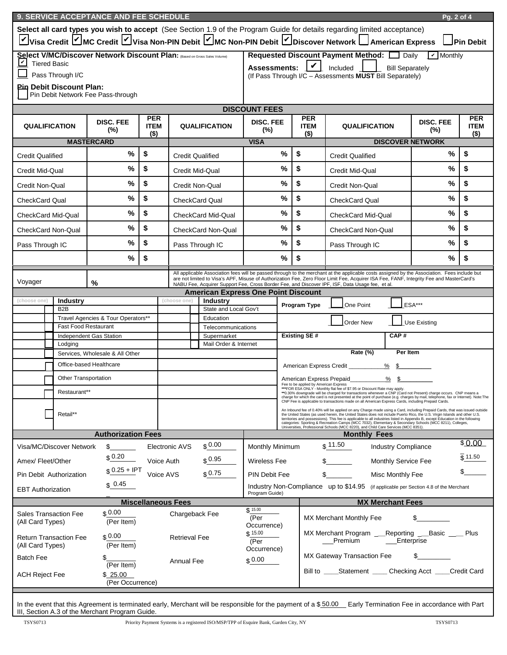|                                                                                                                                                               | 9. SERVICE ACCEPTANCE AND FEE SCHEDULE<br>Pg. 2 of 4                                                                                                                                                                                                                                                                                                                                                                                                                                                             |                                    |                                      |                                                                                                                                                                                                                                       |                                            |                               |                                                                                                                                                                                                                                         |                           |                                                                                                                                                                                                                                                                                          |                            |                         |                                      |
|---------------------------------------------------------------------------------------------------------------------------------------------------------------|------------------------------------------------------------------------------------------------------------------------------------------------------------------------------------------------------------------------------------------------------------------------------------------------------------------------------------------------------------------------------------------------------------------------------------------------------------------------------------------------------------------|------------------------------------|--------------------------------------|---------------------------------------------------------------------------------------------------------------------------------------------------------------------------------------------------------------------------------------|--------------------------------------------|-------------------------------|-----------------------------------------------------------------------------------------------------------------------------------------------------------------------------------------------------------------------------------------|---------------------------|------------------------------------------------------------------------------------------------------------------------------------------------------------------------------------------------------------------------------------------------------------------------------------------|----------------------------|-------------------------|--------------------------------------|
|                                                                                                                                                               |                                                                                                                                                                                                                                                                                                                                                                                                                                                                                                                  |                                    |                                      |                                                                                                                                                                                                                                       |                                            |                               |                                                                                                                                                                                                                                         |                           | Select all card types you wish to accept (See Section 1.9 of the Program Guide for details regarding limited acceptance)                                                                                                                                                                 |                            |                         | Pin Debit                            |
|                                                                                                                                                               | Visa Credit MC Credit Visa Non-PIN Debit VMC Non-PIN Debit VDiscover Network American Express<br>Select V/MC/Discover Network Discount Plan: (Based on Gross Sales Volume)<br>Requested Discount Payment Method: [ Daily<br>$\boxed{\checkmark}$ Monthly                                                                                                                                                                                                                                                         |                                    |                                      |                                                                                                                                                                                                                                       |                                            |                               |                                                                                                                                                                                                                                         |                           |                                                                                                                                                                                                                                                                                          |                            |                         |                                      |
| ∣⊻∣<br><b>Tiered Basic</b>                                                                                                                                    |                                                                                                                                                                                                                                                                                                                                                                                                                                                                                                                  |                                    |                                      |                                                                                                                                                                                                                                       |                                            |                               |                                                                                                                                                                                                                                         |                           | Assessments:       Included                                                                                                                                                                                                                                                              | <b>Bill Separately</b>     |                         |                                      |
|                                                                                                                                                               | Pass Through I/C                                                                                                                                                                                                                                                                                                                                                                                                                                                                                                 |                                    |                                      |                                                                                                                                                                                                                                       |                                            |                               |                                                                                                                                                                                                                                         |                           | (If Pass Through I/C - Assessments MUST Bill Separately)                                                                                                                                                                                                                                 |                            |                         |                                      |
|                                                                                                                                                               | <b>Pin Debit Discount Plan:</b><br>Pin Debit Network Fee Pass-through                                                                                                                                                                                                                                                                                                                                                                                                                                            |                                    |                                      |                                                                                                                                                                                                                                       |                                            |                               |                                                                                                                                                                                                                                         |                           |                                                                                                                                                                                                                                                                                          |                            |                         |                                      |
|                                                                                                                                                               |                                                                                                                                                                                                                                                                                                                                                                                                                                                                                                                  |                                    |                                      |                                                                                                                                                                                                                                       |                                            | <b>DISCOUNT FEES</b>          |                                                                                                                                                                                                                                         |                           |                                                                                                                                                                                                                                                                                          |                            |                         |                                      |
| <b>QUALIFICATION</b>                                                                                                                                          |                                                                                                                                                                                                                                                                                                                                                                                                                                                                                                                  | <b>DISC. FEE</b><br>$(\%)$         | <b>PER</b><br><b>ITEM</b><br>$($ \$) |                                                                                                                                                                                                                                       | <b>QUALIFICATION</b>                       | <b>DISC. FEE</b><br>$(\%)$    |                                                                                                                                                                                                                                         | <b>PER</b><br><b>ITEM</b> | <b>QUALIFICATION</b><br>$($ \$)                                                                                                                                                                                                                                                          |                            | <b>DISC. FEE</b><br>(%) | <b>PER</b><br><b>ITEM</b><br>$($ \$) |
|                                                                                                                                                               |                                                                                                                                                                                                                                                                                                                                                                                                                                                                                                                  | <b>MASTERCARD</b>                  |                                      |                                                                                                                                                                                                                                       |                                            | <b>VISA</b>                   |                                                                                                                                                                                                                                         |                           |                                                                                                                                                                                                                                                                                          |                            | <b>DISCOVER NETWORK</b> |                                      |
| <b>Credit Qualified</b>                                                                                                                                       |                                                                                                                                                                                                                                                                                                                                                                                                                                                                                                                  | %                                  | \$                                   |                                                                                                                                                                                                                                       | <b>Credit Qualified</b>                    |                               | $\%$                                                                                                                                                                                                                                    | \$                        | <b>Credit Qualified</b>                                                                                                                                                                                                                                                                  |                            | $\%$                    | \$                                   |
| Credit Mid-Qual                                                                                                                                               |                                                                                                                                                                                                                                                                                                                                                                                                                                                                                                                  | %                                  | \$                                   |                                                                                                                                                                                                                                       | <b>Credit Mid-Qual</b>                     |                               | %                                                                                                                                                                                                                                       | \$                        | <b>Credit Mid-Qual</b>                                                                                                                                                                                                                                                                   |                            | %                       | \$                                   |
| Credit Non-Qual                                                                                                                                               |                                                                                                                                                                                                                                                                                                                                                                                                                                                                                                                  | %                                  | \$                                   |                                                                                                                                                                                                                                       | <b>Credit Non-Qual</b>                     |                               | %                                                                                                                                                                                                                                       | \$                        | Credit Non-Qual                                                                                                                                                                                                                                                                          |                            | %                       | \$                                   |
| <b>CheckCard Qual</b>                                                                                                                                         |                                                                                                                                                                                                                                                                                                                                                                                                                                                                                                                  | %                                  | \$                                   |                                                                                                                                                                                                                                       | <b>CheckCard Qual</b>                      |                               | %                                                                                                                                                                                                                                       | \$                        | <b>CheckCard Qual</b>                                                                                                                                                                                                                                                                    |                            | %                       | \$                                   |
| CheckCard Mid-Qual                                                                                                                                            |                                                                                                                                                                                                                                                                                                                                                                                                                                                                                                                  | %                                  | \$                                   |                                                                                                                                                                                                                                       | <b>CheckCard Mid-Qual</b>                  |                               | %                                                                                                                                                                                                                                       | \$                        | <b>CheckCard Mid-Qual</b>                                                                                                                                                                                                                                                                |                            | %                       | \$                                   |
| <b>CheckCard Non-Qual</b>                                                                                                                                     |                                                                                                                                                                                                                                                                                                                                                                                                                                                                                                                  | %                                  | \$                                   |                                                                                                                                                                                                                                       | CheckCard Non-Qual                         |                               | %                                                                                                                                                                                                                                       | \$                        | <b>CheckCard Non-Qual</b>                                                                                                                                                                                                                                                                |                            | %                       | \$                                   |
| Pass Through IC                                                                                                                                               |                                                                                                                                                                                                                                                                                                                                                                                                                                                                                                                  | %                                  | \$                                   |                                                                                                                                                                                                                                       | Pass Through IC                            |                               | %                                                                                                                                                                                                                                       | \$                        | Pass Through IC                                                                                                                                                                                                                                                                          |                            | %                       | \$                                   |
|                                                                                                                                                               |                                                                                                                                                                                                                                                                                                                                                                                                                                                                                                                  | %                                  | \$                                   |                                                                                                                                                                                                                                       |                                            |                               | $\%$                                                                                                                                                                                                                                    | \$                        |                                                                                                                                                                                                                                                                                          |                            | $\%$                    | \$                                   |
|                                                                                                                                                               |                                                                                                                                                                                                                                                                                                                                                                                                                                                                                                                  |                                    |                                      |                                                                                                                                                                                                                                       |                                            |                               |                                                                                                                                                                                                                                         |                           | All applicable Association fees will be passed through to the merchant at the applicable costs assigned by the Association. Fees include but<br>are not limited to Visa's APF, Misuse of Authorization Fee, Zero Floor Limit Fee, Acquirer ISA Fee, FANF, Integrity Fee and MasterCard's |                            |                         |                                      |
| Voyager                                                                                                                                                       |                                                                                                                                                                                                                                                                                                                                                                                                                                                                                                                  | %                                  |                                      |                                                                                                                                                                                                                                       | <b>American Express One Point Discount</b> |                               |                                                                                                                                                                                                                                         |                           | NABU Fee, Acquirer Support Fee, Cross Border Fee, and Discover IPF, ISF, Data Usage fee, et al.                                                                                                                                                                                          |                            |                         |                                      |
| (choose one)                                                                                                                                                  | <b>Industry</b>                                                                                                                                                                                                                                                                                                                                                                                                                                                                                                  |                                    |                                      | (choose one)                                                                                                                                                                                                                          | <b>Industry</b>                            |                               |                                                                                                                                                                                                                                         | Program Type              | One Point                                                                                                                                                                                                                                                                                |                            | ESA***                  |                                      |
|                                                                                                                                                               | B <sub>2</sub> B                                                                                                                                                                                                                                                                                                                                                                                                                                                                                                 |                                    |                                      |                                                                                                                                                                                                                                       | State and Local Gov't                      |                               |                                                                                                                                                                                                                                         |                           |                                                                                                                                                                                                                                                                                          |                            |                         |                                      |
|                                                                                                                                                               | <b>Fast Food Restaurant</b>                                                                                                                                                                                                                                                                                                                                                                                                                                                                                      | Travel Agencies & Tour Operators** |                                      |                                                                                                                                                                                                                                       | Education<br>Telecommunications            |                               |                                                                                                                                                                                                                                         |                           | <b>Order New</b>                                                                                                                                                                                                                                                                         |                            | <b>Use Existing</b>     |                                      |
| Independent Gas Station                                                                                                                                       |                                                                                                                                                                                                                                                                                                                                                                                                                                                                                                                  |                                    |                                      | <b>Existing SE#</b><br>CAP#<br>Supermarket                                                                                                                                                                                            |                                            |                               |                                                                                                                                                                                                                                         |                           |                                                                                                                                                                                                                                                                                          |                            |                         |                                      |
|                                                                                                                                                               | Lodging                                                                                                                                                                                                                                                                                                                                                                                                                                                                                                          | Services. Wholesale & All Other    |                                      |                                                                                                                                                                                                                                       | Mail Order & Internet                      |                               |                                                                                                                                                                                                                                         |                           | Rate (%)                                                                                                                                                                                                                                                                                 | Per Item                   |                         |                                      |
|                                                                                                                                                               |                                                                                                                                                                                                                                                                                                                                                                                                                                                                                                                  | Office-based Healthcare            |                                      |                                                                                                                                                                                                                                       |                                            |                               |                                                                                                                                                                                                                                         |                           | American Express Credit __________                                                                                                                                                                                                                                                       | $%$ \$                     |                         |                                      |
|                                                                                                                                                               |                                                                                                                                                                                                                                                                                                                                                                                                                                                                                                                  |                                    |                                      |                                                                                                                                                                                                                                       |                                            |                               |                                                                                                                                                                                                                                         | American Express Prepaid  |                                                                                                                                                                                                                                                                                          | %\$                        |                         |                                      |
| <b>Other Transportation</b>                                                                                                                                   |                                                                                                                                                                                                                                                                                                                                                                                                                                                                                                                  |                                    |                                      | Fee to be applied by American Express<br>***FOR ESA ONLY - Monthly flat fee of \$7.95 or Discount Rate may apply.<br>** 0.30% downgrade will be charged for transactions whenever a CNP (Card not Present) charge occurs. CNP means a |                                            |                               |                                                                                                                                                                                                                                         |                           |                                                                                                                                                                                                                                                                                          |                            |                         |                                      |
| Restaurant**                                                                                                                                                  |                                                                                                                                                                                                                                                                                                                                                                                                                                                                                                                  |                                    |                                      |                                                                                                                                                                                                                                       |                                            |                               | charge for which the card is not presented at the point of purchase (e.g. charges by mail, telephone, fax or Internet). Note: The<br>CNP Fee is applicable to transactions made on all American Express Cards, including Prepaid Cards. |                           |                                                                                                                                                                                                                                                                                          |                            |                         |                                      |
|                                                                                                                                                               | An Inbound fee of 0.40% will be applied on any Charge made using a Card, including Prepaid Cards, that was issued outside<br>Retail**<br>the United States (as used herein, the United States does not include Puerto Rico, the U.S. Virgin Islands and other U.S.<br>territories and possessions). This fee is applicable to all industries listed in Appendix B, except Education in the following<br>categories: Sporting & Recreation Camps (MCC 7032), Elementary & Secondary Schools (MCC 8211), Colleges, |                                    |                                      |                                                                                                                                                                                                                                       |                                            |                               |                                                                                                                                                                                                                                         |                           |                                                                                                                                                                                                                                                                                          |                            |                         |                                      |
|                                                                                                                                                               |                                                                                                                                                                                                                                                                                                                                                                                                                                                                                                                  | <b>Authorization Fees</b>          |                                      |                                                                                                                                                                                                                                       |                                            |                               |                                                                                                                                                                                                                                         |                           | Universities, Professional Schools (MCC 8220), and Child Care Services (MCC 8351).<br><b>Monthly Fees</b>                                                                                                                                                                                |                            |                         |                                      |
| \$11.50<br>\$0.00<br>Visa/MC/Discover Network<br>\$<br>Monthly Minimum<br><b>Industry Compliance</b><br>Electronic AVS                                        |                                                                                                                                                                                                                                                                                                                                                                                                                                                                                                                  |                                    |                                      |                                                                                                                                                                                                                                       | \$0.00                                     |                               |                                                                                                                                                                                                                                         |                           |                                                                                                                                                                                                                                                                                          |                            |                         |                                      |
| Amex/ Fleet/Other                                                                                                                                             |                                                                                                                                                                                                                                                                                                                                                                                                                                                                                                                  | \$0.20                             | Voice Auth                           |                                                                                                                                                                                                                                       | \$0.95                                     | <b>Wireless Fee</b>           |                                                                                                                                                                                                                                         |                           |                                                                                                                                                                                                                                                                                          | <b>Monthly Service Fee</b> |                         | ჭ 11.50                              |
| Pin Debit Authorization                                                                                                                                       |                                                                                                                                                                                                                                                                                                                                                                                                                                                                                                                  | $$0.25 + IPT$                      | Voice AVS                            |                                                                                                                                                                                                                                       | \$0.75                                     | PIN Debit Fee                 |                                                                                                                                                                                                                                         |                           | $\mathbb{S}$ and $\mathbb{S}$                                                                                                                                                                                                                                                            | Misc Monthly Fee           |                         |                                      |
| <b>EBT Authorization</b>                                                                                                                                      |                                                                                                                                                                                                                                                                                                                                                                                                                                                                                                                  | \$0.45                             |                                      |                                                                                                                                                                                                                                       |                                            | Program Guide)                |                                                                                                                                                                                                                                         |                           | Industry Non-Compliance up to \$14.95 (if applicable per Section 4.8 of the Merchant                                                                                                                                                                                                     |                            |                         |                                      |
| <b>Miscellaneous Fees</b><br><b>MX Merchant Fees</b>                                                                                                          |                                                                                                                                                                                                                                                                                                                                                                                                                                                                                                                  |                                    |                                      |                                                                                                                                                                                                                                       |                                            |                               |                                                                                                                                                                                                                                         |                           |                                                                                                                                                                                                                                                                                          |                            |                         |                                      |
| <b>Sales Transaction Fee</b><br>(All Card Types)                                                                                                              |                                                                                                                                                                                                                                                                                                                                                                                                                                                                                                                  | \$0.00<br>(Per Item)               |                                      |                                                                                                                                                                                                                                       | Chargeback Fee                             | \$15.00<br>(Per               |                                                                                                                                                                                                                                         |                           | MX Merchant Monthly Fee                                                                                                                                                                                                                                                                  |                            |                         |                                      |
|                                                                                                                                                               | \$0.00<br><b>Return Transaction Fee</b><br><b>Retrieval Fee</b>                                                                                                                                                                                                                                                                                                                                                                                                                                                  |                                    | \$15.00<br>(Per                      | Occurrence)<br>MX Merchant Program<br>Premium                                                                                                                                                                                         |                                            | Reporting Basic<br>Enterprise | Plus                                                                                                                                                                                                                                    |                           |                                                                                                                                                                                                                                                                                          |                            |                         |                                      |
| (Per Item)<br>(All Card Types)<br>Occurrence)<br>MX Gateway Transaction Fee<br>Batch Fee                                                                      |                                                                                                                                                                                                                                                                                                                                                                                                                                                                                                                  |                                    |                                      |                                                                                                                                                                                                                                       |                                            |                               |                                                                                                                                                                                                                                         |                           |                                                                                                                                                                                                                                                                                          |                            |                         |                                      |
| <b>ACH Reject Fee</b>                                                                                                                                         |                                                                                                                                                                                                                                                                                                                                                                                                                                                                                                                  | (Per Item)<br>\$25.00              |                                      | Annual Fee                                                                                                                                                                                                                            |                                            | \$0.00\$                      |                                                                                                                                                                                                                                         |                           | Bill to _____Statement _____ Checking Acct ____                                                                                                                                                                                                                                          |                            |                         | Credit Card                          |
|                                                                                                                                                               |                                                                                                                                                                                                                                                                                                                                                                                                                                                                                                                  | (Per Occurrence)                   |                                      |                                                                                                                                                                                                                                       |                                            |                               |                                                                                                                                                                                                                                         |                           |                                                                                                                                                                                                                                                                                          |                            |                         |                                      |
| In the event that this Agreement is terminated early, Merchant will be responsible for the payment of a \$50.00 Early Termination Fee in accordance with Part |                                                                                                                                                                                                                                                                                                                                                                                                                                                                                                                  |                                    |                                      |                                                                                                                                                                                                                                       |                                            |                               |                                                                                                                                                                                                                                         |                           |                                                                                                                                                                                                                                                                                          |                            |                         |                                      |
| III, Section A.3 of the Merchant Program Guide.                                                                                                               |                                                                                                                                                                                                                                                                                                                                                                                                                                                                                                                  |                                    |                                      |                                                                                                                                                                                                                                       |                                            |                               |                                                                                                                                                                                                                                         |                           |                                                                                                                                                                                                                                                                                          |                            |                         |                                      |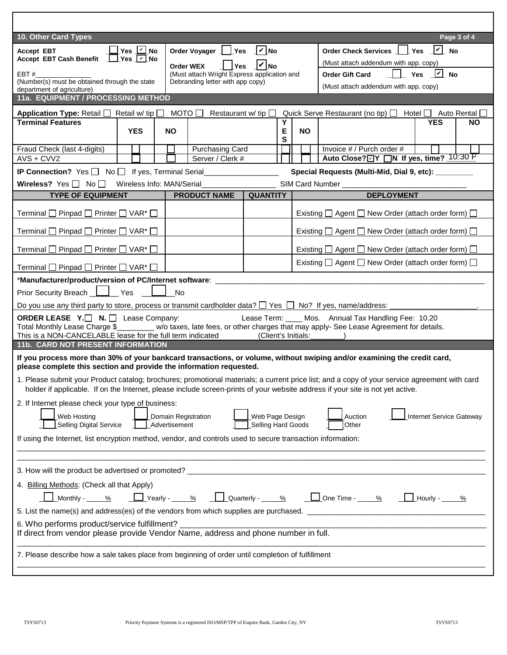| 10. Other Card Types                                                                                                                                                                                                                                                            |                                                                                 |                     | Page 3 of 4                                                                                                              |  |  |
|---------------------------------------------------------------------------------------------------------------------------------------------------------------------------------------------------------------------------------------------------------------------------------|---------------------------------------------------------------------------------|---------------------|--------------------------------------------------------------------------------------------------------------------------|--|--|
| $\Box$ Yes $\Box$ No<br><b>Accept EBT</b>                                                                                                                                                                                                                                       | Order Voyager   Yes   V No                                                      |                     | Order Check Services   Yes     No                                                                                        |  |  |
| Accept EBT Cash Benefit TYes V No                                                                                                                                                                                                                                               | <b>Yes</b><br>Order WEX                                                         | $ v _{\text{No}}$   | (Must attach addendum with app. copy)                                                                                    |  |  |
| EBT#<br>(Number(s) must be obtained through the state                                                                                                                                                                                                                           | (Must attach Wright Express application and<br>Debranding letter with app copy) |                     | $\Box$ Yes $\Box$ No<br><b>Order Gift Card</b>                                                                           |  |  |
| department of agriculture)                                                                                                                                                                                                                                                      |                                                                                 |                     | (Must attach addendum with app. copy)                                                                                    |  |  |
| 11a. EQUIPMENT / PROCESSING METHOD                                                                                                                                                                                                                                              |                                                                                 |                     |                                                                                                                          |  |  |
| Application Type: Retail $\Box$ Retail w/ tip $\Box$                                                                                                                                                                                                                            | MOTO $\Box$<br>Restaurant w/ tip $\Box$                                         |                     | Quick Serve Restaurant (no tip)   Hotel   Auto Rental                                                                    |  |  |
| <b>Terminal Features</b><br><b>YES</b>                                                                                                                                                                                                                                          | NO.                                                                             | Y<br>Е              | <b>YES</b><br><b>NO</b><br><b>NO</b>                                                                                     |  |  |
|                                                                                                                                                                                                                                                                                 |                                                                                 | ${\bf S}$           |                                                                                                                          |  |  |
| Fraud Check (last 4-digits)<br>$AVS + CVV2$                                                                                                                                                                                                                                     | <b>Purchasing Card</b><br>Server / Clerk #                                      |                     | Invoice # / Purch order #<br>Auto Close? ØY DN If yes, time? 10:30 P                                                     |  |  |
| <b>IP Connection?</b> Yes $\Box$ No $\Box$ If yes, Terminal Serial________________________                                                                                                                                                                                      |                                                                                 |                     | Special Requests (Multi-Mid, Dial 9, etc): ________                                                                      |  |  |
| Wireless? Yes   No   Wireless Info: MAN/Serial _________________________________                                                                                                                                                                                                |                                                                                 |                     | SIM Card Number                                                                                                          |  |  |
| <b>TYPE OF EQUIPMENT</b>                                                                                                                                                                                                                                                        | <b>PRODUCT NAME</b>                                                             | <b>QUANTITY</b>     | <b>DEPLOYMENT</b>                                                                                                        |  |  |
|                                                                                                                                                                                                                                                                                 |                                                                                 |                     |                                                                                                                          |  |  |
| Terminal $\Box$ Pinpad $\Box$ Printer $\Box$ VAR* $\Box$                                                                                                                                                                                                                        |                                                                                 |                     | Existing □ Agent □ New Order (attach order form) □                                                                       |  |  |
| Terminal □ Pinpad □ Printer □ VAR <sup>*</sup> □                                                                                                                                                                                                                                |                                                                                 |                     | Existing $\Box$ Agent $\Box$ New Order (attach order form) $\Box$                                                        |  |  |
| Terminal $\Box$ Pinpad $\Box$ Printer $\Box$ VAR* $\Box$                                                                                                                                                                                                                        |                                                                                 |                     | Existing $\Box$ Agent $\Box$ New Order (attach order form) $\Box$                                                        |  |  |
|                                                                                                                                                                                                                                                                                 |                                                                                 |                     | Existing $\Box$ Agent $\Box$ New Order (attach order form) $\Box$                                                        |  |  |
| Terminal $\Box$ Pinpad $\Box$ Printer $\Box$ VAR* $\Box$                                                                                                                                                                                                                        |                                                                                 |                     |                                                                                                                          |  |  |
| *Manufacturer/product/version of PC/Internet software: _____________<br>Prior Security Breach <u>II</u> Yes LI No                                                                                                                                                               |                                                                                 |                     |                                                                                                                          |  |  |
| Do you use any third party to store, process or transmit cardholder data? $\Box$ Yes $\Box$ No? If yes, name/address:                                                                                                                                                           |                                                                                 |                     |                                                                                                                          |  |  |
| <b>ORDER LEASE</b> $Y.\Box$ <b>N.</b> $\Box$ Lease Company:                                                                                                                                                                                                                     |                                                                                 |                     | Lease Term: ____ Mos. Annual Tax Handling Fee: 10.20                                                                     |  |  |
| Total Monthly Lease Charge \$________ w/o taxes, late fees, or other charges that may apply- See Lease Agreement for details.                                                                                                                                                   |                                                                                 |                     |                                                                                                                          |  |  |
| This is a NON-CANCELABLE lease for the full term indicated<br>11b. CARD NOT PRESENT INFORMATION                                                                                                                                                                                 |                                                                                 | (Client's Initials: |                                                                                                                          |  |  |
|                                                                                                                                                                                                                                                                                 |                                                                                 |                     | If you process more than 30% of your bankcard transactions, or volume, without swiping and/or examining the credit card, |  |  |
| please complete this section and provide the information requested.                                                                                                                                                                                                             |                                                                                 |                     |                                                                                                                          |  |  |
| 1. Please submit your Product catalog; brochures; promotional materials; a current price list; and a copy of your service agreement with card<br>holder if applicable. If on the Internet, please include screen-prints of your website address if your site is not yet active. |                                                                                 |                     |                                                                                                                          |  |  |
|                                                                                                                                                                                                                                                                                 |                                                                                 |                     |                                                                                                                          |  |  |
| 2. If Internet please check your type of business:<br>Web Page Design<br>Auction<br><b>Internet Service Gateway</b>                                                                                                                                                             |                                                                                 |                     |                                                                                                                          |  |  |
| Web Hosting<br>Domain Registration<br><b>Selling Digital Service</b><br>Selling Hard Goods<br>Advertisement<br>Other                                                                                                                                                            |                                                                                 |                     |                                                                                                                          |  |  |
| If using the Internet, list encryption method, vendor, and controls used to secure transaction information:                                                                                                                                                                     |                                                                                 |                     |                                                                                                                          |  |  |
|                                                                                                                                                                                                                                                                                 |                                                                                 |                     |                                                                                                                          |  |  |
| 3. How will the product be advertised or promoted?                                                                                                                                                                                                                              |                                                                                 |                     |                                                                                                                          |  |  |
| 4. Billing Methods: (Check all that Apply)                                                                                                                                                                                                                                      |                                                                                 |                     |                                                                                                                          |  |  |
| _Monthly - ____% _______Yearly - ____% _______ Quarterly - ____% ______One Time - ____% ______Hourly - ____%                                                                                                                                                                    |                                                                                 |                     |                                                                                                                          |  |  |
|                                                                                                                                                                                                                                                                                 |                                                                                 |                     |                                                                                                                          |  |  |
| 6. Who performs product/service fulfillment?                                                                                                                                                                                                                                    |                                                                                 |                     |                                                                                                                          |  |  |
| If direct from vendor please provide Vendor Name, address and phone number in full.                                                                                                                                                                                             |                                                                                 |                     |                                                                                                                          |  |  |
| 7. Please describe how a sale takes place from beginning of order until completion of fulfillment                                                                                                                                                                               |                                                                                 |                     |                                                                                                                          |  |  |
|                                                                                                                                                                                                                                                                                 |                                                                                 |                     |                                                                                                                          |  |  |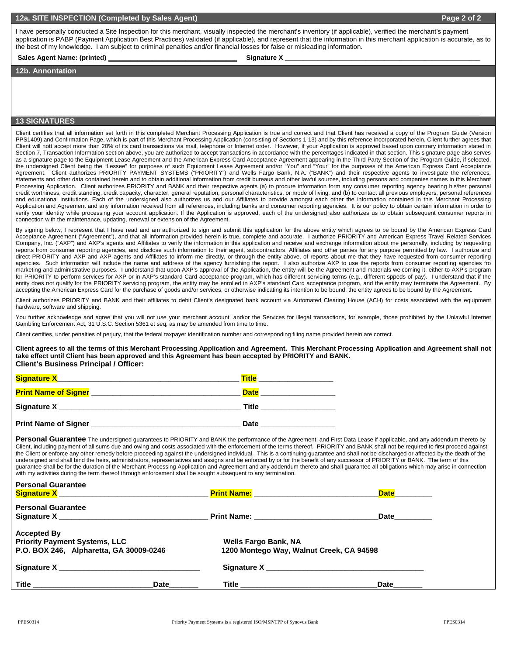### **12a. SITE INSPECTION (Completed by Sales Agent) Page 2 of 2**

I have personally conducted a Site Inspection for this merchant, visually inspected the merchant's inventory (if applicable), verified the merchant's payment application is PABP (Payment Application Best Practices) validated (if applicable), and represent that the information in this merchant application is accurate, as to the best of my knowledge. I am subject to criminal penalties and/or financial losses for false or misleading information.

#### Sales Agent Name: (printed) **Example 2** and Signature X **Contained** Signature X

#### **12b. Annontation**

## **13 SIGNATURES**

Client certifies that all information set forth in this completed Merchant Processing Application is true and correct and that Client has received a copy of the Program Guide (Version PPS1409) and Confirmation Page, which is part of this Merchant Processing Application (consisting of Sections 1-13) and by this reference incorporated herein. Client further agrees that Client will nott accept more than 20% of its card transactions via mail, telephone or Internet order. However, if your Application is approved based upon contrary information stated in Section 7, Transaction Information section above, you are authorized to accept transactions in accordance with the percentages indicated in that section. This signature page also serves as a signature page to the Equipment Lease Agreement and the American Express Card Acceptance Agreement appearing in the Third Party Section of the Program Guide, if selected, the undersigned Client being the "Lessee" for purposes of such Equipment Lease Agreement and/or "You" and "Your" for the purposes of the American Express Card Acceptance Agreement. Client authorizes PRIORITY PAYMENT SYSTEMS ("PRIORITY") and Wells Fargo Bank, N.A. ("BANK") and their respective agents to investigate the references, statements and other data contained herein and to obtain additional information from credit bureaus and other lawful sources, including persons and companies names in this Merchant Processing Application. Client authorizes PRIORITY and BANK and their respective agents (a) to procure information form any consumer reporting agency bearing his/her personal credit worthiness, credit standing, credit capacity, character, general reputation, personal characteristics, or mode of living, and (b) to contact all previous employers, personal references and educational institutions. Each of the undersigned also authorizes us and our Affiliates to provide amongst each other the information contained in this Merchant Processing Application and Agreement and any information received from all references, including banks and consumer reporting agencies. It is our policy to obtain certain information in order to verify your identity while processing your account application. If the Application is approved, each of the undersigned also authorizes us to obtain subsequent consumer reports in connection with the maintenance, updating, renewal or extension of the Agreement.

**\_\_\_\_\_\_\_\_\_\_\_\_\_\_\_\_\_\_\_\_\_\_\_\_\_\_\_\_\_\_\_\_\_\_\_\_\_\_\_\_\_\_\_\_\_\_\_\_\_\_\_\_\_\_\_\_\_\_\_\_\_\_\_\_\_\_\_\_\_\_\_\_\_\_\_\_\_\_\_\_\_\_\_\_\_\_\_\_\_\_\_\_\_\_\_\_\_\_\_\_\_\_\_\_\_\_\_\_\_\_\_\_** 

By signing below, I represent that I have read and am authorized to sign and submit this application for the above entity which agrees to be bound by the American Express Card Acceptance Agreement ("Agreement"), and that all information provided herein is true, complete and accurate. I authorize PRIORITY and American Express Travel Related Services Company, Inc. ("AXP") and AXP's agents and Affiliates to verify the information in this application and receive and exchange information about me personally, including by requesting reports from consumer reporting agencies, and disclose such information to their agent, subcontractors, Affiliates and other parties for any purpose permitted by law. I authorize and direct PRIORITY and AXP and AXP agents and Affiliates to inform me directly, or through the entity above, of reports about me that they have requested from consumer reporting agencies. Such information will include the name and address of the agency furnishing the report. I also authorize AXP to use the reports from consumer reporting agencies fro marketing and administrative purposes. I understand that upon AXP's approval of the Application, the entity will be the Agreement and materials welcoming it, either to AXP's program for PRIORITY to perform services for AXP or in AXP's standard Card acceptance program, which has different servicing terms (e.g., different sppeds of pay). I understand that if the entity does not qualify for the PRIORITY servicing program, the entity may be enrolled in AXP's standard Card acceptance program, and the entity may terminate the Agreement. By accepting the American Express Card for the purchase of goods and/or services, or otherwise indicating its intention to be bound, the entity agrees to be bound by the Agreement.

Client authorizes PRIORITY and BANK and their affiliates to debit Client's designated bank account via Automated Clearing House (ACH) for costs associated with the equipment hardware, software and shipping.

You further acknowledge and agree that you will not use your merchant account and/or the Services for illegal transactions, for example, those prohibited by the Unlawful Internet Gambling Enforcement Act, 31 U.S.C. Section 5361 et seq, as may be amended from time to time.

Client certifies, under penalties of perjury, that the federal taxpayer identification number and corresponding filing name provided herein are correct.

**Client agrees to all the terms of this Merchant Processing Application and Agreement. This Merchant Processing Application and Agreement shall not take effect until Client has been approved and this Agreement has been accepted by PRIORITY and BANK. Client's Business Principal / Officer:** 

| <b>Signature X</b>          | <b>Title</b> |
|-----------------------------|--------------|
| <b>Print Name of Signer</b> | <b>Date</b>  |
|                             | Title        |
| <b>Print Name of Signer</b> | <b>Date</b>  |

Personal Guarantee The undersigned guarantees to PRIORITY and BANK the performance of the Agreement, and First Data Lease if applicable, and any addendum thereto by Client, including payment of all sums due and owing and costs associated with the enforcement of the terms thereof. PRIORITY and BANK shall not be required to first proceed against the Client or enforce any other remedy before proceeding against the undersigned individual. This is a continuing guarantee and shall not be discharged or affected by the death of the undersigned and shall bind the heirs, administrators, representatives and assigns and be enforced by or for the benefit of any successor of PRIORITY or BANK. The term of this guarantee shall be for the duration of the Merchant Processing Application and Agreement and any addendum thereto and shall guarantee all obligations which may arise in connection with my activities during the term thereof through enforcement shall be sought subsequent to any termination.

| <b>Personal Guarantee</b><br><b>Signature X</b> and the state of the state of the state of the state of the state of the state of the state of the state of the state of the state of the state of the state of the state of the state of the state of the state |      |                               | <b>Date</b> the state of the state of the state of the state of the state of the state of the state of the state of the state of the state of the state of the state of the state of the state of the state of the state of the sta |  |  |  |
|------------------------------------------------------------------------------------------------------------------------------------------------------------------------------------------------------------------------------------------------------------------|------|-------------------------------|-------------------------------------------------------------------------------------------------------------------------------------------------------------------------------------------------------------------------------------|--|--|--|
| <b>Personal Guarantee</b>                                                                                                                                                                                                                                        |      |                               | Date________                                                                                                                                                                                                                        |  |  |  |
| <b>Accepted By</b>                                                                                                                                                                                                                                               |      |                               |                                                                                                                                                                                                                                     |  |  |  |
| <b>Priority Payment Systems, LLC</b>                                                                                                                                                                                                                             |      | <b>Wells Fargo Bank, NA</b>   |                                                                                                                                                                                                                                     |  |  |  |
| P.O. BOX 246, Alpharetta, GA 30009-0246                                                                                                                                                                                                                          |      |                               | 1200 Montego Way, Walnut Creek, CA 94598                                                                                                                                                                                            |  |  |  |
| Signature X and the state of the state of the state of the state of the state of the state of the state of the                                                                                                                                                   |      |                               | Signature X and the state of the state of the state of the state of the state of the state of the state of the                                                                                                                      |  |  |  |
|                                                                                                                                                                                                                                                                  | Date | Title _______________________ | Date                                                                                                                                                                                                                                |  |  |  |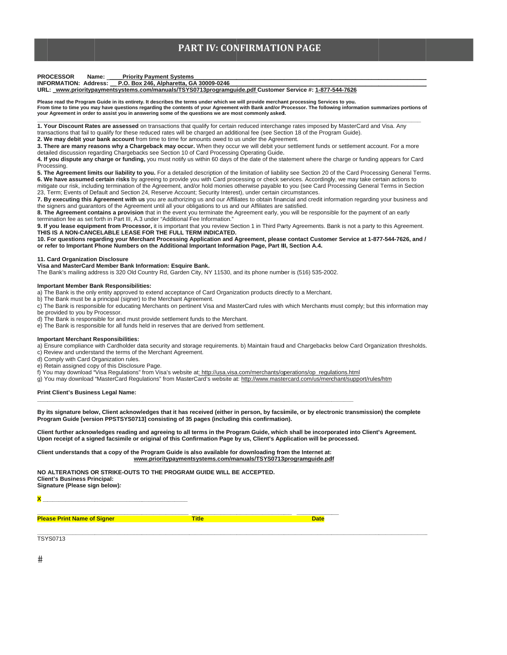## **PART IV: CONFIRMATION PAGE**

**PROCESSOR Priority Payment Systems** Name:

INFORMATION: Address: P.O. Box 246, Alpharetta, GA 30009-0246<br>INFORMATION: Address: P.O. Box 246, Alpharetta, GA 30009-0246<br>URL: www.prioritypaymentsystems.com/manuals/TSYS0713programguide.pdf Customer Service #: 1-877-544

Please read the Program Guide in its entirety. It describes the terms under which we will provide merchant processing Services to you.<br>From time to time you may have questions regarding the contents of your Agreement with your Agreement in order to assist you in answering some of the questions we are most commonly asked.

1. Your Discount Rates are assessed on transactions that qualify for certain reduced interchange rates imposed by MasterCard and Visa. Any transactions that fail to qualify for these reduced rates will be charged an additional fee (see Section 18 of the Program Guide).

2. We may debit your bank account from time to time for amounts owed to us under the Agreement.

3. There are many reasons why a Chargeback may occur. When they occur we will debit your settlement funds or settlement account. For a more detailed discussion regarding Chargebacks see Section 10 of Card Processing Operating Guide.

4. If you dispute any charge or funding, you must notify us within 60 days of the date of the statement where the charge or funding appears for Card Processing.

5. The Agreement limits our liability to you. For a detailed description of the limitation of liability see Section 20 of the Card Processing General Terms. 6. We have assumed certain risks by agreeing to provide you with Card processing or check services. Accordingly, we may take certain actions to mitigate our risk, including termination of the Agreement, and/or hold monies otherwise payable to you (see Card Processing General Terms in Section 23, Term; Events of Default and Section 24, Reserve Account; Security Interest), under certain circumstances

7. By executing this Agreement with us you are authorizing us and our Affiliates to obtain financial and credit information regarding your business and the signers and guarantors of the Agreement until all your obligations to us and our Affiliates are satisfied.

8. The Agreement contains a provision that in the event you terminate the Agreement early, you will be responsible for the payment of an early termination fee as set forth in Part III, A.3 under "Additional Fee Information."

9. If you lease equipment from Processor, it is important that you review Section 1 in Third Party Agreements. Bank is not a party to this Agreement.<br>THIS IS A NON-CANCELABLE LEASE FOR THE FULL TERM INDICATED.

10. For questions regarding your Merchant Processing Application and Agreement, please contact Customer Service at 1-877-544-7626, and / or refer to Important Phone Numbers on the Additional Important Information Page, Part III, Section A.4.

#### 11. Card Organization Disclosure

Visa and MasterCard Member Bank Information: Esquire Bank.

The Bank's mailing address is 320 Old Country Rd, Garden City, NY 11530, and its phone number is (516) 535-2002.

#### **Important Member Bank Responsibilities:**

a) The Bank is the only entity approved to extend acceptance of Card Organization products directly to a Merchant.

b) The Bank must be a principal (signer) to the Merchant Agreement.

c) The Bank is responsible for educating Merchants on pertinent Visa and MasterCard rules with which Merchants must comply; but this information may be provided to you by Processor.

d) The Bank is responsible for and must provide settlement funds to the Merchant.

e) The Bank is responsible for all funds held in reserves that are derived from settlement.

#### **Important Merchant Responsibilities:**

a) Ensure compliance with Cardholder data security and storage requirements. b) Maintain fraud and Chargebacks below Card Organization thresholds. c) Review and understand the terms of the Merchant Agreement.

d) Comply with Card Organization rules.

e) Retain assigned copy of this Disclosure Page.

f) You may download "Visa Regulations" from Visa's website at<u>: http://usa.visa.com/merchants/operations/op\_regulations.html</u><br>g) You may download "Visa Regulations" from Visa's website at: http://www.mastercard.com/us/merc

#### Print Client's Business Legal Name:

By its signature below, Client acknowledges that it has received (either in person, by facsimile, or by electronic transmission) the complete Program Guide [version PPSTSYS0713] consisting of 35 pages (including this confirmation).

Client further acknowledges reading and agreeing to all terms in the Program Guide, which shall be incorporated into Client's Agreement. Upon receipt of a signed facsimile or original of this Confirmation Page by us, Client's Application will be processed.

Client understands that a copy of the Program Guide is also available for downloading from the Internet at: www.prioritypaymentsystems.com/manuals/TSYS0713programguide.pdf

**Title** 

NO ALTERATIONS OR STRIKE-OUTS TO THE PROGRAM GUIDE WILL BE ACCEPTED. **Client's Business Principal:** Signature (Please sign below):

#### **Please Print Name of Signer**

**Date** 

**TSYS0713**